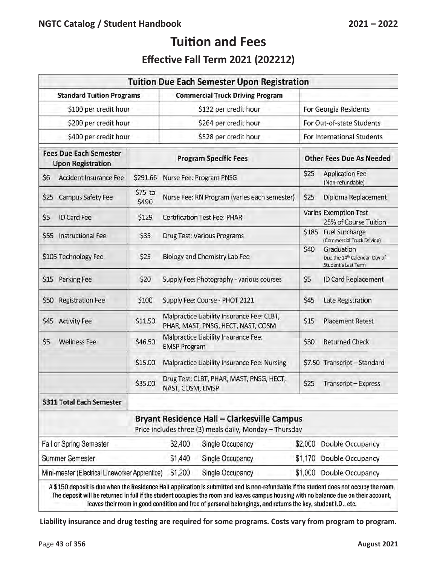# **Effective Fall Term 2021 (202212)**

|                                                           |                  | <b>Tuition Due Each Semester Upon Registration</b>                                                            |                                                                                       |
|-----------------------------------------------------------|------------------|---------------------------------------------------------------------------------------------------------------|---------------------------------------------------------------------------------------|
| <b>Standard Tuition Programs</b>                          |                  | <b>Commercial Truck Driving Program</b>                                                                       |                                                                                       |
| \$100 per credit hour                                     |                  | \$132 per credit hour                                                                                         | For Georgia Residents                                                                 |
| \$200 per credit hour                                     |                  | \$264 per credit hour                                                                                         | For Out-of-state Students                                                             |
| \$400 per credit hour                                     |                  | \$528 per credit hour                                                                                         | For International Students                                                            |
| <b>Fees Due Each Semester</b><br><b>Upon Registration</b> |                  | <b>Program Specific Fees</b>                                                                                  | <b>Other Fees Due As Needed</b>                                                       |
| \$6<br>Accident Insurance Fee                             | \$291.66         | Nurse Fee: Program PNSG                                                                                       | \$25<br><b>Application Fee</b><br>(Non-refundable)                                    |
| \$25<br>Campus Safety Fee                                 | \$75 to<br>\$490 | Nurse Fee: RN Program (varies each semester)                                                                  | \$25<br>Diploma Replacement                                                           |
| \$5<br><b>ID Card Fee</b>                                 | \$129            | <b>Certification Test Fee: PHAR</b>                                                                           | Varies Exemption Test<br>25% of Course Tuition                                        |
| <b>Instructional Fee</b><br>\$55                          | \$35             | Drug Test: Various Programs                                                                                   | \$185<br><b>Fuel Surcharge</b><br>(Commercial Truck Driving)                          |
| \$105 Technology Fee                                      | \$25             | Biology and Chemistry Lab Fee                                                                                 | \$40<br>Graduation<br>Due the 14 <sup>th</sup> Calendar Day of<br>Student's Last Term |
| \$15<br>Parking Fee                                       | \$20             | Supply Fee: Photography - various courses                                                                     | \$5<br>ID Card Replacement                                                            |
| \$50<br><b>Registration Fee</b>                           | \$100            | Supply Fee: Course - PHOT 2121                                                                                | \$45<br>Late Registration                                                             |
| \$45 Activity Fee                                         | \$11.50          | Malpractice Liability Insurance Fee: CLBT,<br>PHAR, MAST, PNSG, HECT, NAST, COSM                              | \$15<br><b>Placement Retest</b>                                                       |
| \$5<br><b>Wellness Fee</b>                                | \$46.50          | Malpractice Liability Insurance Fee:<br><b>EMSP Program</b>                                                   | \$30<br><b>Returned Check</b>                                                         |
|                                                           | \$15.00          | Malpractice Liability Insurance Fee: Nursing                                                                  | \$7.50 Transcript - Standard                                                          |
|                                                           | \$35.00          | Drug Test: CLBT, PHAR, MAST, PNSG, HECT,<br>NAST, COSM, EMSP                                                  | \$25<br>Transcript-Express                                                            |
| \$311 Total Each Semester                                 |                  |                                                                                                               |                                                                                       |
|                                                           |                  | <b>Bryant Residence Hall - Clarkesville Campus</b><br>Price includes three (3) meals daily, Monday - Thursday |                                                                                       |
| Fall or Spring Semester                                   |                  | \$2,400<br>Single Occupancy                                                                                   | Double Occupancy<br>\$2,000                                                           |
| <b>Summer Semester</b>                                    |                  | \$1,440<br>Single Occupancy                                                                                   | \$1,170<br>Double Occupancy                                                           |
| Mini-mester (Electrical Lineworker Apprentice)            |                  | \$1,200<br>Single Occupancy                                                                                   | \$1,000<br>Double Occupancy                                                           |

when the Residence Hall application is submitted and is non-refundable if the student does not occupy the room. The deposit will be returned in full if the student occupies the room and leaves campus housing with no balance due on their account, leaves their room in good condition and free of personal belongings, and returns the key, student I.D., etc.

**Liability insurance and drug testing are required for some programs. Costs vary from program to program.**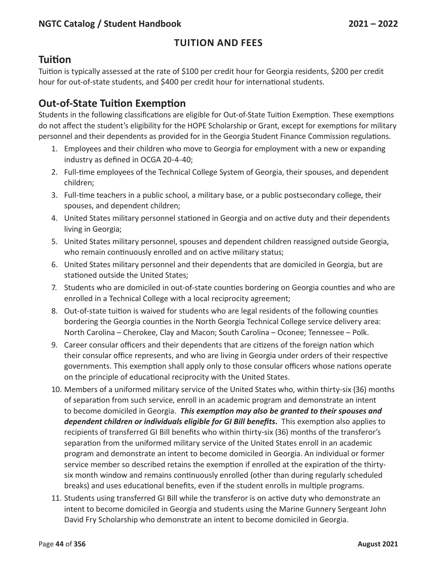# **Tuition**

Tuition is typically assessed at the rate of \$100 per credit hour for Georgia residents, \$200 per credit hour for out-of-state students, and \$400 per credit hour for international students.

# **Out-of-State Tuition Exemption**

Students in the following classifications are eligible for Out-of-State Tuition Exemption. These exemptions do not affect the student's eligibility for the HOPE Scholarship or Grant, except for exemptions for military personnel and their dependents as provided for in the Georgia Student Finance Commission regulations.

- 1. Employees and their children who move to Georgia for employment with a new or expanding industry as defined in OCGA 20-4-40;
- 2. Full-time employees of the Technical College System of Georgia, their spouses, and dependent children;
- 3. Full-time teachers in a public school, a military base, or a public postsecondary college, their spouses, and dependent children;
- 4. United States military personnel stationed in Georgia and on active duty and their dependents living in Georgia;
- 5. United States military personnel, spouses and dependent children reassigned outside Georgia, who remain continuously enrolled and on active military status;
- 6. United States military personnel and their dependents that are domiciled in Georgia, but are stationed outside the United States;
- 7. Students who are domiciled in out-of-state counties bordering on Georgia counties and who are enrolled in a Technical College with a local reciprocity agreement;
- 8. Out-of-state tuition is waived for students who are legal residents of the following counties bordering the Georgia counties in the North Georgia Technical College service delivery area: North Carolina – Cherokee, Clay and Macon; South Carolina – Oconee; Tennessee – Polk.
- 9. Career consular officers and their dependents that are citizens of the foreign nation which their consular office represents, and who are living in Georgia under orders of their respective governments. This exemption shall apply only to those consular officers whose nations operate on the principle of educational reciprocity with the United States.
- 10. Members of a uniformed military service of the United States who, within thirty-six (36) months of separation from such service, enroll in an academic program and demonstrate an intent to become domiciled in Georgia. *This exemption may also be granted to their spouses and dependent children or individuals eligible for GI Bill benefits.* This exemption also applies to recipients of transferred GI Bill benefits who within thirty-six (36) months of the transferor's separation from the uniformed military service of the United States enroll in an academic program and demonstrate an intent to become domiciled in Georgia. An individual or former service member so described retains the exemption if enrolled at the expiration of the thirtysix month window and remains continuously enrolled (other than during regularly scheduled breaks) and uses educational benefits, even if the student enrolls in multiple programs.
- 11. Students using transferred GI Bill while the transferor is on active duty who demonstrate an intent to become domiciled in Georgia and students using the Marine Gunnery Sergeant John David Fry Scholarship who demonstrate an intent to become domiciled in Georgia.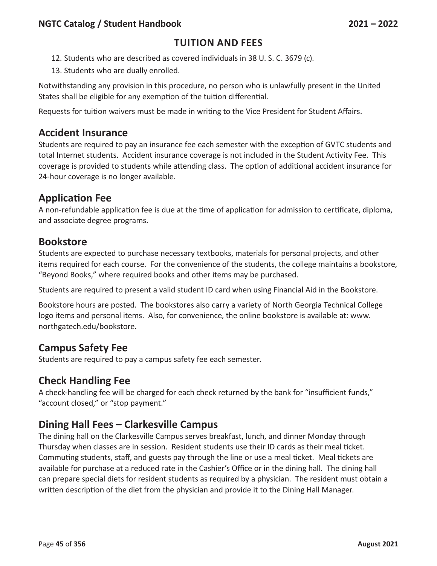- 12. Students who are described as covered individuals in 38 U. S. C. 3679 (c).
- 13. Students who are dually enrolled.

Notwithstanding any provision in this procedure, no person who is unlawfully present in the United States shall be eligible for any exemption of the tuition differential.

Requests for tuition waivers must be made in writing to the Vice President for Student Affairs.

#### **Accident Insurance**

Students are required to pay an insurance fee each semester with the exception of GVTC students and total Internet students. Accident insurance coverage is not included in the Student Activity Fee. This coverage is provided to students while attending class. The option of additional accident insurance for 24-hour coverage is no longer available.

# **Application Fee**

A non-refundable application fee is due at the time of application for admission to certificate, diploma, and associate degree programs.

# **Bookstore**

Students are expected to purchase necessary textbooks, materials for personal projects, and other items required for each course. For the convenience of the students, the college maintains a bookstore, "Beyond Books," where required books and other items may be purchased.

Students are required to present a valid student ID card when using Financial Aid in the Bookstore.

Bookstore hours are posted. The bookstores also carry a variety of North Georgia Technical College logo items and personal items. Also, for convenience, the online bookstore is available at: www. northgatech.edu/bookstore.

# **Campus Safety Fee**

Students are required to pay a campus safety fee each semester.

# **Check Handling Fee**

A check-handling fee will be charged for each check returned by the bank for "insufficient funds," "account closed," or "stop payment."

# **Dining Hall Fees – Clarkesville Campus**

The dining hall on the Clarkesville Campus serves breakfast, lunch, and dinner Monday through Thursday when classes are in session. Resident students use their ID cards as their meal ticket. Commuting students, staff, and guests pay through the line or use a meal ticket. Meal tickets are available for purchase at a reduced rate in the Cashier's Office or in the dining hall. The dining hall can prepare special diets for resident students as required by a physician. The resident must obtain a written description of the diet from the physician and provide it to the Dining Hall Manager.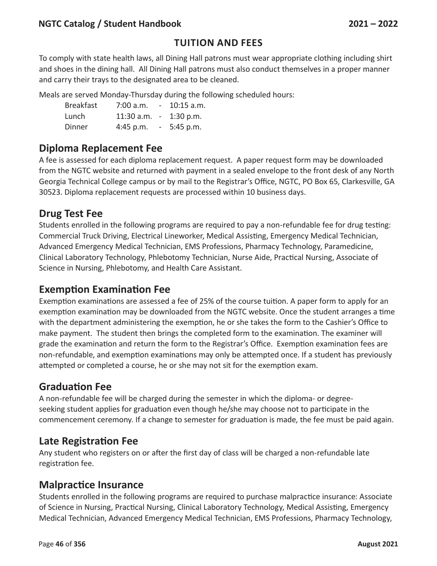#### **NGTC Catalog / Student Handbook 2021 – 2022**

#### **Tuition and Fees**

To comply with state health laws, all Dining Hall patrons must wear appropriate clothing including shirt and shoes in the dining hall. All Dining Hall patrons must also conduct themselves in a proper manner and carry their trays to the designated area to be cleaned.

Meals are served Monday-Thursday during the following scheduled hours:

| <b>Breakfast</b> | $7:00$ a.m.  | $\sim$                   | $10:15$ a.m. |
|------------------|--------------|--------------------------|--------------|
| Lunch            | $11:30$ a.m. | $\sim$                   | $1:30$ p.m.  |
| Dinner           | 4:45 p.m.    | $\overline{\phantom{a}}$ | $5:45$ p.m.  |

# **Diploma Replacement Fee**

A fee is assessed for each diploma replacement request. A paper request form may be downloaded from the NGTC website and returned with payment in a sealed envelope to the front desk of any North Georgia Technical College campus or by mail to the Registrar's Office, NGTC, PO Box 65, Clarkesville, GA 30523. Diploma replacement requests are processed within 10 business days.

#### **Drug Test Fee**

Students enrolled in the following programs are required to pay a non-refundable fee for drug testing: Commercial Truck Driving, Electrical Lineworker, Medical Assisting, Emergency Medical Technician, Advanced Emergency Medical Technician, EMS Professions, Pharmacy Technology, Paramedicine, Clinical Laboratory Technology, Phlebotomy Technician, Nurse Aide, Practical Nursing, Associate of Science in Nursing, Phlebotomy, and Health Care Assistant.

#### **Exemption Examination Fee**

Exemption examinations are assessed a fee of 25% of the course tuition. A paper form to apply for an exemption examination may be downloaded from the NGTC website. Once the student arranges a time with the department administering the exemption, he or she takes the form to the Cashier's Office to make payment. The student then brings the completed form to the examination. The examiner will grade the examination and return the form to the Registrar's Office. Exemption examination fees are non-refundable, and exemption examinations may only be attempted once. If a student has previously attempted or completed a course, he or she may not sit for the exemption exam.

#### **Graduation Fee**

A non-refundable fee will be charged during the semester in which the diploma- or degreeseeking student applies for graduation even though he/she may choose not to participate in the commencement ceremony. If a change to semester for graduation is made, the fee must be paid again.

#### **Late Registration Fee**

Any student who registers on or after the first day of class will be charged a non-refundable late registration fee.

#### **Malpractice Insurance**

Students enrolled in the following programs are required to purchase malpractice insurance: Associate of Science in Nursing, Practical Nursing, Clinical Laboratory Technology, Medical Assisting, Emergency Medical Technician, Advanced Emergency Medical Technician, EMS Professions, Pharmacy Technology,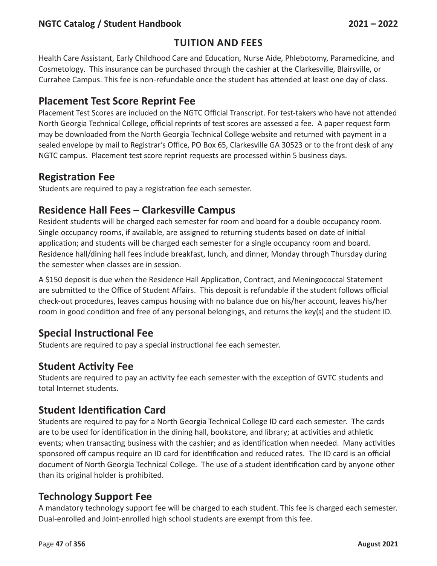#### **NGTC Catalog / Student Handbook 2021 – 2022**

#### **Tuition and Fees**

Health Care Assistant, Early Childhood Care and Education, Nurse Aide, Phlebotomy, Paramedicine, and Cosmetology. This insurance can be purchased through the cashier at the Clarkesville, Blairsville, or Currahee Campus. This fee is non-refundable once the student has attended at least one day of class.

#### **Placement Test Score Reprint Fee**

Placement Test Scores are included on the NGTC Official Transcript. For test-takers who have not attended North Georgia Technical College, official reprints of test scores are assessed a fee. A paper request form may be downloaded from the North Georgia Technical College website and returned with payment in a sealed envelope by mail to Registrar's Office, PO Box 65, Clarkesville GA 30523 or to the front desk of any NGTC campus. Placement test score reprint requests are processed within 5 business days.

#### **Registration Fee**

Students are required to pay a registration fee each semester.

#### **Residence Hall Fees – Clarkesville Campus**

Resident students will be charged each semester for room and board for a double occupancy room. Single occupancy rooms, if available, are assigned to returning students based on date of initial application; and students will be charged each semester for a single occupancy room and board. Residence hall/dining hall fees include breakfast, lunch, and dinner, Monday through Thursday during the semester when classes are in session.

A \$150 deposit is due when the Residence Hall Application, Contract, and Meningococcal Statement are submitted to the Office of Student Affairs. This deposit is refundable if the student follows official check-out procedures, leaves campus housing with no balance due on his/her account, leaves his/her room in good condition and free of any personal belongings, and returns the key(s) and the student ID.

#### **Special Instructional Fee**

Students are required to pay a special instructional fee each semester.

#### **Student Activity Fee**

Students are required to pay an activity fee each semester with the exception of GVTC students and total Internet students.

#### **Student Identification Card**

Students are required to pay for a North Georgia Technical College ID card each semester. The cards are to be used for identification in the dining hall, bookstore, and library; at activities and athletic events; when transacting business with the cashier; and as identification when needed. Many activities sponsored off campus require an ID card for identification and reduced rates. The ID card is an official document of North Georgia Technical College. The use of a student identification card by anyone other than its original holder is prohibited.

#### **Technology Support Fee**

A mandatory technology support fee will be charged to each student. This fee is charged each semester. Dual-enrolled and Joint-enrolled high school students are exempt from this fee.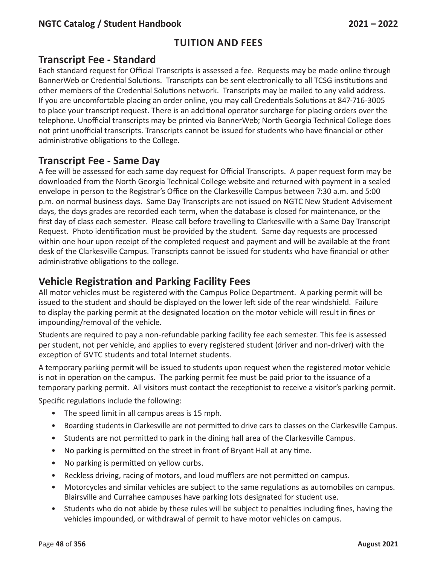#### **Transcript Fee - Standard**

Each standard request for Official Transcripts is assessed a fee. Requests may be made online through BannerWeb or Credential Solutions. Transcripts can be sent electronically to all TCSG institutions and other members of the Credential Solutions network. Transcripts may be mailed to any valid address. If you are uncomfortable placing an order online, you may call Credentials Solutions at 847-716-3005 to place your transcript request. There is an additional operator surcharge for placing orders over the telephone. Unofficial transcripts may be printed via BannerWeb; North Georgia Technical College does not print unofficial transcripts. Transcripts cannot be issued for students who have financial or other administrative obligations to the College.

# **Transcript Fee - Same Day**

A fee will be assessed for each same day request for Official Transcripts. A paper request form may be downloaded from the North Georgia Technical College website and returned with payment in a sealed envelope in person to the Registrar's Office on the Clarkesville Campus between 7:30 a.m. and 5:00 p.m. on normal business days. Same Day Transcripts are not issued on NGTC New Student Advisement days, the days grades are recorded each term, when the database is closed for maintenance, or the first day of class each semester. Please call before travelling to Clarkesville with a Same Day Transcript Request. Photo identification must be provided by the student. Same day requests are processed within one hour upon receipt of the completed request and payment and will be available at the front desk of the Clarkesville Campus. Transcripts cannot be issued for students who have financial or other administrative obligations to the college.

#### **Vehicle Registration and Parking Facility Fees**

All motor vehicles must be registered with the Campus Police Department. A parking permit will be issued to the student and should be displayed on the lower left side of the rear windshield. Failure to display the parking permit at the designated location on the motor vehicle will result in fines or impounding/removal of the vehicle.

Students are required to pay a non-refundable parking facility fee each semester. This fee is assessed per student, not per vehicle, and applies to every registered student (driver and non-driver) with the exception of GVTC students and total Internet students.

A temporary parking permit will be issued to students upon request when the registered motor vehicle is not in operation on the campus. The parking permit fee must be paid prior to the issuance of a temporary parking permit. All visitors must contact the receptionist to receive a visitor's parking permit.

Specific regulations include the following:

- The speed limit in all campus areas is 15 mph.
- Boarding students in Clarkesville are not permitted to drive cars to classes on the Clarkesville Campus.
- Students are not permitted to park in the dining hall area of the Clarkesville Campus.
- No parking is permitted on the street in front of Bryant Hall at any time.
- No parking is permitted on yellow curbs.
- Reckless driving, racing of motors, and loud mufflers are not permitted on campus.
- Motorcycles and similar vehicles are subject to the same regulations as automobiles on campus. Blairsville and Currahee campuses have parking lots designated for student use.
- Students who do not abide by these rules will be subject to penalties including fines, having the vehicles impounded, or withdrawal of permit to have motor vehicles on campus.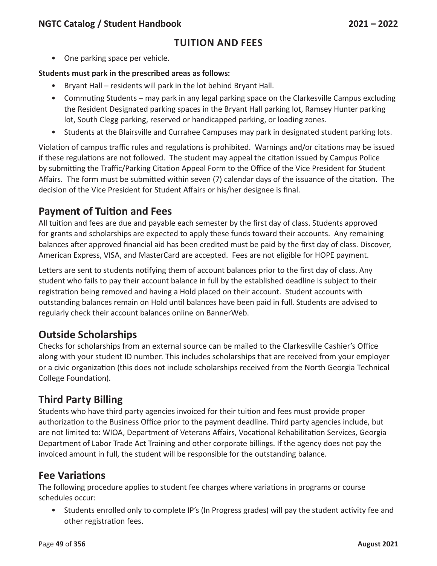• One parking space per vehicle.

#### **Students must park in the prescribed areas as follows:**

- Bryant Hall residents will park in the lot behind Bryant Hall.
- Commuting Students may park in any legal parking space on the Clarkesville Campus excluding the Resident Designated parking spaces in the Bryant Hall parking lot, Ramsey Hunter parking lot, South Clegg parking, reserved or handicapped parking, or loading zones.
- Students at the Blairsville and Currahee Campuses may park in designated student parking lots.

Violation of campus traffic rules and regulations is prohibited. Warnings and/or citations may be issued if these regulations are not followed. The student may appeal the citation issued by Campus Police by submitting the Traffic/Parking Citation Appeal Form to the Office of the Vice President for Student Affairs. The form must be submitted within seven (7) calendar days of the issuance of the citation. The decision of the Vice President for Student Affairs or his/her designee is final.

# **Payment of Tuition and Fees**

All tuition and fees are due and payable each semester by the first day of class. Students approved for grants and scholarships are expected to apply these funds toward their accounts. Any remaining balances after approved financial aid has been credited must be paid by the first day of class. Discover, American Express, VISA, and MasterCard are accepted. Fees are not eligible for HOPE payment.

Letters are sent to students notifying them of account balances prior to the first day of class. Any student who fails to pay their account balance in full by the established deadline is subject to their registration being removed and having a Hold placed on their account. Student accounts with outstanding balances remain on Hold until balances have been paid in full. Students are advised to regularly check their account balances online on BannerWeb.

# **Outside Scholarships**

Checks for scholarships from an external source can be mailed to the Clarkesville Cashier's Office along with your student ID number. This includes scholarships that are received from your employer or a civic organization (this does not include scholarships received from the North Georgia Technical College Foundation).

# **Third Party Billing**

Students who have third party agencies invoiced for their tuition and fees must provide proper authorization to the Business Office prior to the payment deadline. Third party agencies include, but are not limited to: WIOA, Department of Veterans Affairs, Vocational Rehabilitation Services, Georgia Department of Labor Trade Act Training and other corporate billings. If the agency does not pay the invoiced amount in full, the student will be responsible for the outstanding balance.

# **Fee Variations**

The following procedure applies to student fee charges where variations in programs or course schedules occur:

• Students enrolled only to complete IP's (In Progress grades) will pay the student activity fee and other registration fees.